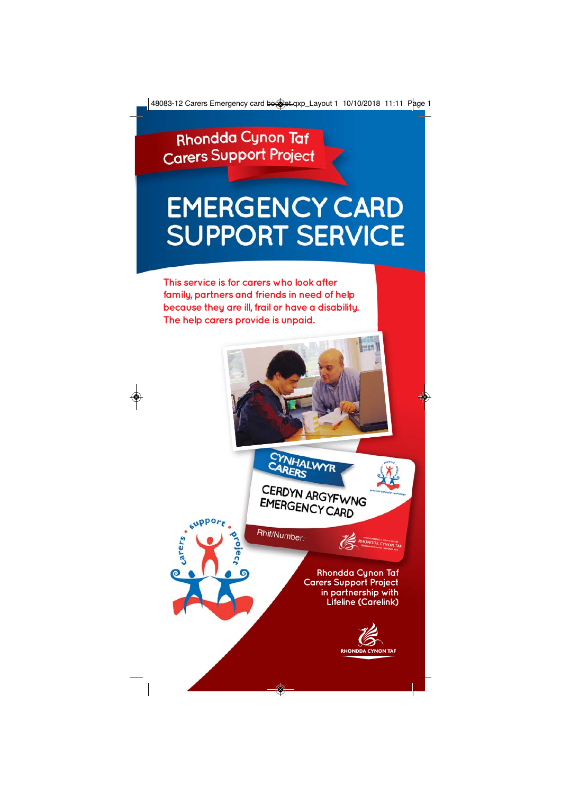Rhondda Cynon Taf **Carers Support Project** 

# **EMERGENCY CARD SUPPORT SERVICE**

**This service is for carers who look after family, partners and friends in need of help because they are ill, frail or have a disability. The help carers provide is unpaid.**

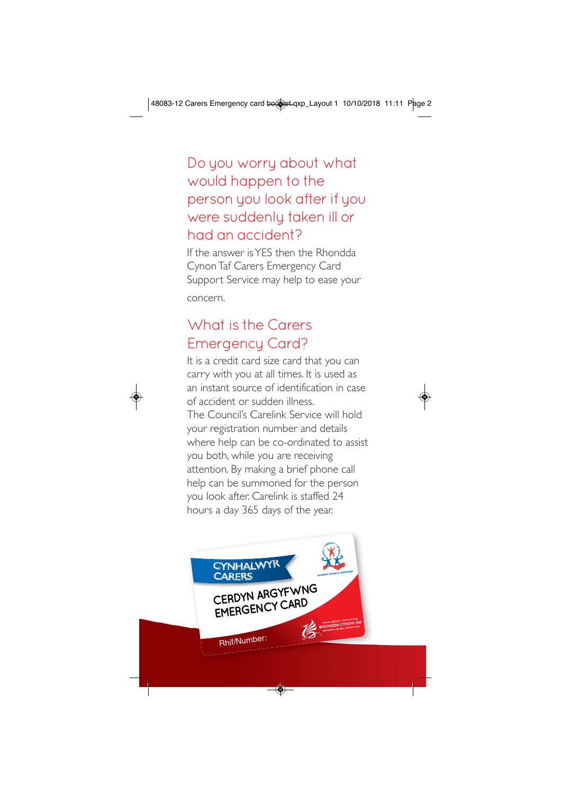# Do you worry about what would happen to the person you look after if you were suddenly taken ill or had an accident?

If the answer is YES then the Rhondda Cynon Taf Carers Emergency Card Support Service may help to ease your concern.

# What is the Carers Emergency Card?

It is a credit card size card that you can carry with you at all times. It is used as an instant source of identification in case of accident or sudden illness. The Council's Carelink Service will hold your registration number and details where help can be co-ordinated to assist you both, while you are receiving attention. By making a brief phone call help can be summoned for the person you look after. Carelink is staffed 24 hours a day 365 days of the year.

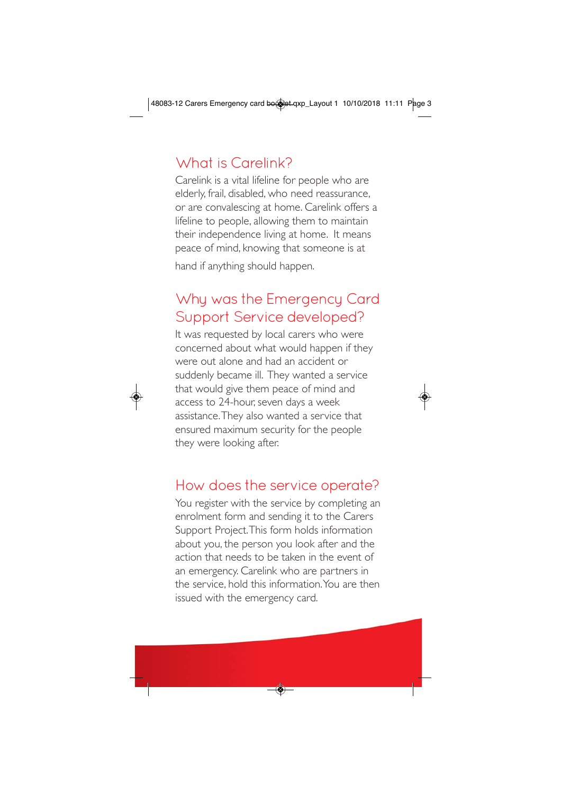# What is Carelink?

Carelink is a vital lifeline for people who are elderly, frail, disabled, who need reassurance, or are convalescing at home. Carelink offers a lifeline to people, allowing them to maintain their independence living at home. It means peace of mind, knowing that someone is at

hand if anything should happen.

# Why was the Emergency Card Support Service developed?

It was requested by local carers who were concerned about what would happen if they were out alone and had an accident or suddenly became ill. They wanted a service that would give them peace of mind and access to 24-hour, seven days a week assistance. They also wanted a service that ensured maximum security for the people they were looking after.

#### How does the service operate?

You register with the service by completing an enrolment form and sending it to the Carers Support Project. This form holds information about you, the person you look after and the action that needs to be taken in the event of an emergency. Carelink who are partners in the service, hold this information. You are then issued with the emergency card.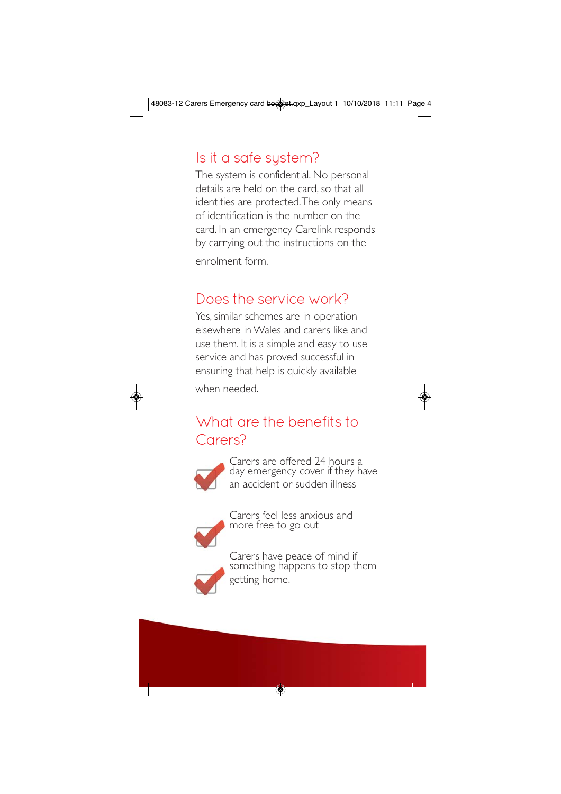# Is it a safe system?

The system is confidential. No personal details are held on the card, so that all identities are protected. The only means of identification is the number on the card. In an emergency Carelink responds by carrying out the instructions on the enrolment form.

#### Does the service work?

Yes, similar schemes are in operation elsewhere in Wales and carers like and use them. It is a simple and easy to use service and has proved successful in ensuring that help is quickly available when needed.

#### What are the benefits to Carers?



Carers are offered 24 hours a day emergency cover if they have an accident or sudden illness



Carers feel less anxious and more free to go out



Carers have peace of mind if something happens to stop them getting home.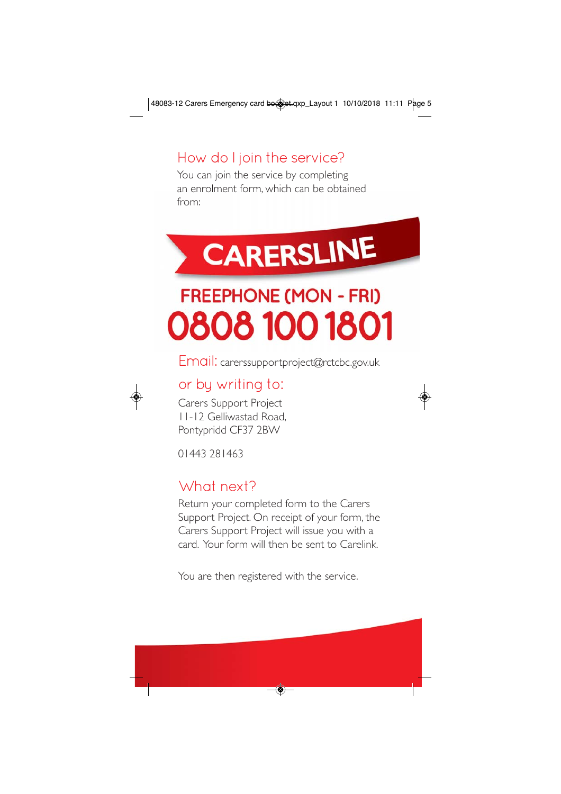#### How do I join the service?

You can join the service by completing an enrolment form, which can be obtained from:

# **CARERSLINE FREEPHONE (MON - FRI)** 0808 100 1801

Email: carerssupportproject@rctcbc.gov.uk

#### or by writing to:

Carers Support Project 11-12 Gelliwastad Road, Pontypridd CF37 2BW

01443 281463

#### What next?

Return your completed form to the Carers Support Project. On receipt of your form, the Carers Support Project will issue you with a card. Your form will then be sent to Carelink.

You are then registered with the service.